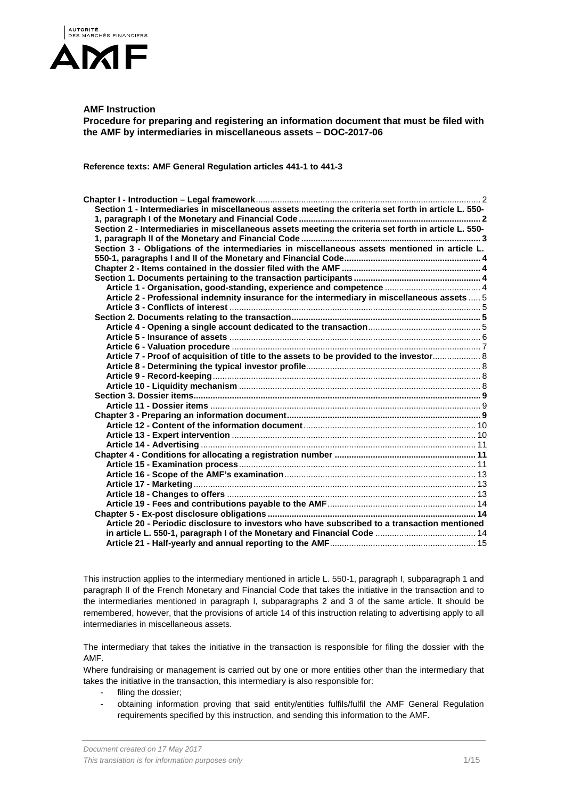

# **AMF Instruction**

**Procedure for preparing and registering an information document that must be filed with the AMF by intermediaries in miscellaneous assets – DOC-2017-06** 

**Reference texts: AMF General Regulation articles 441-1 to 441-3** 

| Section 1 - Intermediaries in miscellaneous assets meeting the criteria set forth in article L. 550- |  |
|------------------------------------------------------------------------------------------------------|--|
|                                                                                                      |  |
| Section 2 - Intermediaries in miscellaneous assets meeting the criteria set forth in article L. 550- |  |
|                                                                                                      |  |
| Section 3 - Obligations of the intermediaries in miscellaneous assets mentioned in article L.        |  |
|                                                                                                      |  |
|                                                                                                      |  |
|                                                                                                      |  |
|                                                                                                      |  |
| Article 2 - Professional indemnity insurance for the intermediary in miscellaneous assets  5         |  |
|                                                                                                      |  |
|                                                                                                      |  |
|                                                                                                      |  |
|                                                                                                      |  |
|                                                                                                      |  |
| Article 7 - Proof of acquisition of title to the assets to be provided to the investor 8             |  |
|                                                                                                      |  |
|                                                                                                      |  |
|                                                                                                      |  |
|                                                                                                      |  |
|                                                                                                      |  |
|                                                                                                      |  |
|                                                                                                      |  |
|                                                                                                      |  |
|                                                                                                      |  |
|                                                                                                      |  |
|                                                                                                      |  |
|                                                                                                      |  |
|                                                                                                      |  |
|                                                                                                      |  |
|                                                                                                      |  |
|                                                                                                      |  |
| Article 20 - Periodic disclosure to investors who have subscribed to a transaction mentioned         |  |
|                                                                                                      |  |
|                                                                                                      |  |

This instruction applies to the intermediary mentioned in article L. 550-1, paragraph I, subparagraph 1 and paragraph II of the French Monetary and Financial Code that takes the initiative in the transaction and to the intermediaries mentioned in paragraph I, subparagraphs 2 and 3 of the same article. It should be remembered, however, that the provisions of article 14 of this instruction relating to advertising apply to all intermediaries in miscellaneous assets.

The intermediary that takes the initiative in the transaction is responsible for filing the dossier with the AMF.

Where fundraising or management is carried out by one or more entities other than the intermediary that takes the initiative in the transaction, this intermediary is also responsible for:

- filing the dossier;
- obtaining information proving that said entity/entities fulfils/fulfil the AMF General Regulation requirements specified by this instruction, and sending this information to the AMF.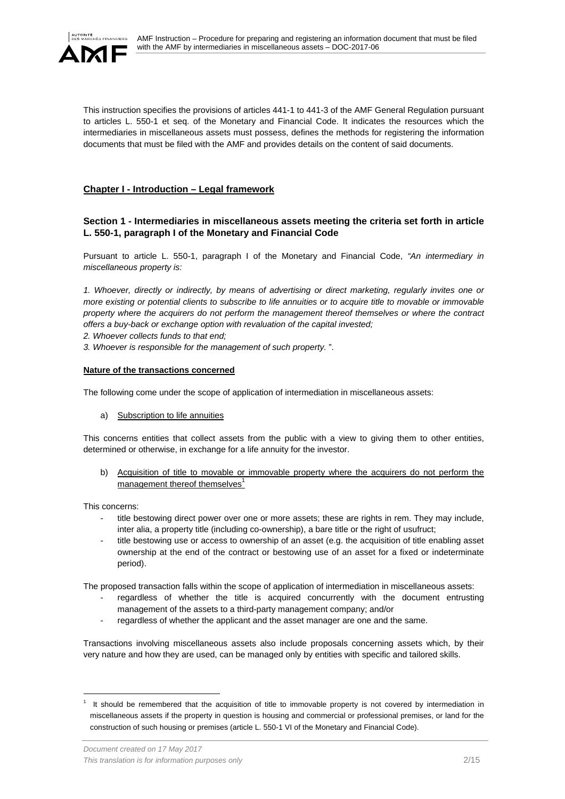

This instruction specifies the provisions of articles 441-1 to 441-3 of the AMF General Regulation pursuant to articles L. 550-1 et seq. of the Monetary and Financial Code. It indicates the resources which the intermediaries in miscellaneous assets must possess, defines the methods for registering the information documents that must be filed with the AMF and provides details on the content of said documents.

# **Chapter I - Introduction – Legal framework**

# **Section 1 - Intermediaries in miscellaneous assets meeting the criteria set forth in article L. 550-1, paragraph I of the Monetary and Financial Code**

Pursuant to article L. 550-1, paragraph I of the Monetary and Financial Code, *"An intermediary in miscellaneous property is:*

*1. Whoever, directly or indirectly, by means of advertising or direct marketing, regularly invites one or more existing or potential clients to subscribe to life annuities or to acquire title to movable or immovable property where the acquirers do not perform the management thereof themselves or where the contract offers a buy-back or exchange option with revaluation of the capital invested;* 

*2. Whoever collects funds to that end;* 

*3. Whoever is responsible for the management of such property.* ".

### **Nature of the transactions concerned**

The following come under the scope of application of intermediation in miscellaneous assets:

a) Subscription to life annuities

This concerns entities that collect assets from the public with a view to giving them to other entities, determined or otherwise, in exchange for a life annuity for the investor.

b) Acquisition of title to movable or immovable property where the acquirers do not perform the management thereof themselves $1$ 

This concerns:

l

- title bestowing direct power over one or more assets; these are rights in rem. They may include, inter alia, a property title (including co-ownership), a bare title or the right of usufruct;
- title bestowing use or access to ownership of an asset (e.g. the acquisition of title enabling asset ownership at the end of the contract or bestowing use of an asset for a fixed or indeterminate period).

The proposed transaction falls within the scope of application of intermediation in miscellaneous assets:

- regardless of whether the title is acquired concurrently with the document entrusting management of the assets to a third-party management company; and/or
- regardless of whether the applicant and the asset manager are one and the same.

Transactions involving miscellaneous assets also include proposals concerning assets which, by their very nature and how they are used, can be managed only by entities with specific and tailored skills.

<sup>&</sup>lt;sup>1</sup> It should be remembered that the acquisition of title to immovable property is not covered by intermediation in miscellaneous assets if the property in question is housing and commercial or professional premises, or land for the construction of such housing or premises (article L. 550-1 VI of the Monetary and Financial Code).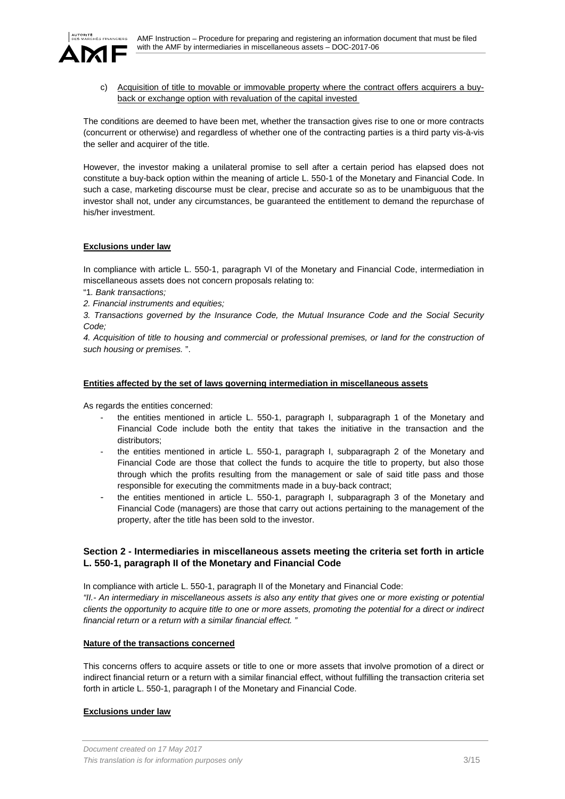

c) Acquisition of title to movable or immovable property where the contract offers acquirers a buyback or exchange option with revaluation of the capital invested

The conditions are deemed to have been met, whether the transaction gives rise to one or more contracts (concurrent or otherwise) and regardless of whether one of the contracting parties is a third party vis-à-vis the seller and acquirer of the title.

However, the investor making a unilateral promise to sell after a certain period has elapsed does not constitute a buy-back option within the meaning of article L. 550-1 of the Monetary and Financial Code. In such a case, marketing discourse must be clear, precise and accurate so as to be unambiguous that the investor shall not, under any circumstances, be guaranteed the entitlement to demand the repurchase of his/her investment.

# **Exclusions under law**

In compliance with article L. 550-1, paragraph VI of the Monetary and Financial Code, intermediation in miscellaneous assets does not concern proposals relating to:

- "1*. Bank transactions;*
- *2. Financial instruments and equities;*

*3. Transactions governed by the Insurance Code, the Mutual Insurance Code and the Social Security Code;* 

*4. Acquisition of title to housing and commercial or professional premises, or land for the construction of such housing or premises.* ".

## **Entities affected by the set of laws governing intermediation in miscellaneous assets**

As regards the entities concerned:

- the entities mentioned in article L. 550-1, paragraph I, subparagraph 1 of the Monetary and Financial Code include both the entity that takes the initiative in the transaction and the distributors;
- the entities mentioned in article L. 550-1, paragraph I, subparagraph 2 of the Monetary and Financial Code are those that collect the funds to acquire the title to property, but also those through which the profits resulting from the management or sale of said title pass and those responsible for executing the commitments made in a buy-back contract;
- the entities mentioned in article L. 550-1, paragraph I, subparagraph 3 of the Monetary and Financial Code (managers) are those that carry out actions pertaining to the management of the property, after the title has been sold to the investor.

# **Section 2 - Intermediaries in miscellaneous assets meeting the criteria set forth in article L. 550-1, paragraph II of the Monetary and Financial Code**

In compliance with article L. 550-1, paragraph II of the Monetary and Financial Code: *"II.- An intermediary in miscellaneous assets is also any entity that gives one or more existing or potential clients the opportunity to acquire title to one or more assets, promoting the potential for a direct or indirect financial return or a return with a similar financial effect. "* 

## **Nature of the transactions concerned**

This concerns offers to acquire assets or title to one or more assets that involve promotion of a direct or indirect financial return or a return with a similar financial effect, without fulfilling the transaction criteria set forth in article L. 550-1, paragraph I of the Monetary and Financial Code.

# **Exclusions under law**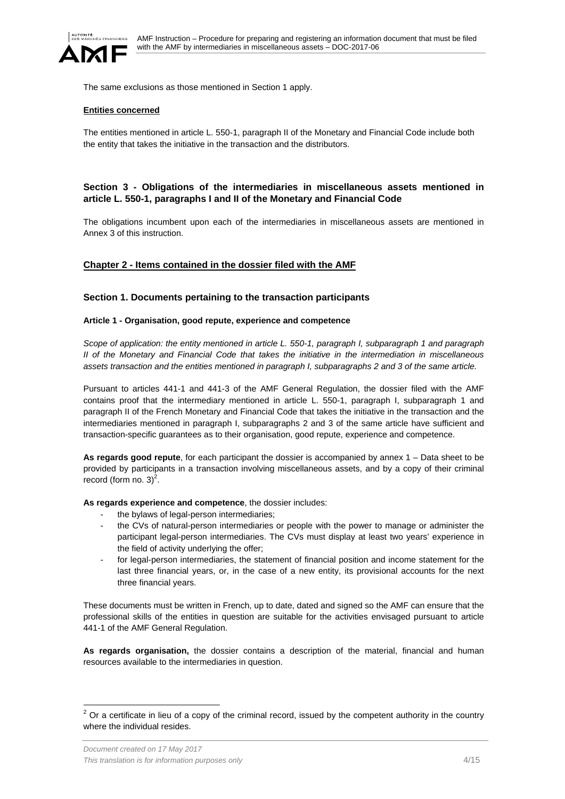

The same exclusions as those mentioned in Section 1 apply.

### **Entities concerned**

The entities mentioned in article L. 550-1, paragraph II of the Monetary and Financial Code include both the entity that takes the initiative in the transaction and the distributors.

# **Section 3 - Obligations of the intermediaries in miscellaneous assets mentioned in article L. 550-1, paragraphs I and II of the Monetary and Financial Code**

The obligations incumbent upon each of the intermediaries in miscellaneous assets are mentioned in Annex 3 of this instruction.

## **Chapter 2 - Items contained in the dossier filed with the AMF**

#### **Section 1. Documents pertaining to the transaction participants**

#### **Article 1 - Organisation, good repute, experience and competence**

*Scope of application: the entity mentioned in article L. 550-1, paragraph I, subparagraph 1 and paragraph II of the Monetary and Financial Code that takes the initiative in the intermediation in miscellaneous assets transaction and the entities mentioned in paragraph I, subparagraphs 2 and 3 of the same article.* 

Pursuant to articles 441-1 and 441-3 of the AMF General Regulation, the dossier filed with the AMF contains proof that the intermediary mentioned in article L. 550-1, paragraph I, subparagraph 1 and paragraph II of the French Monetary and Financial Code that takes the initiative in the transaction and the intermediaries mentioned in paragraph I, subparagraphs 2 and 3 of the same article have sufficient and transaction-specific guarantees as to their organisation, good repute, experience and competence.

**As regards good repute**, for each participant the dossier is accompanied by annex 1 – Data sheet to be provided by participants in a transaction involving miscellaneous assets, and by a copy of their criminal record (form no.  $3)^2$ .

**As regards experience and competence**, the dossier includes:

- the bylaws of legal-person intermediaries;
- the CVs of natural-person intermediaries or people with the power to manage or administer the participant legal-person intermediaries. The CVs must display at least two years' experience in the field of activity underlying the offer;
- for legal-person intermediaries, the statement of financial position and income statement for the last three financial years, or, in the case of a new entity, its provisional accounts for the next three financial years.

These documents must be written in French, up to date, dated and signed so the AMF can ensure that the professional skills of the entities in question are suitable for the activities envisaged pursuant to article 441-1 of the AMF General Regulation.

**As regards organisation,** the dossier contains a description of the material, financial and human resources available to the intermediaries in question.

l

 $2$  Or a certificate in lieu of a copy of the criminal record, issued by the competent authority in the country where the individual resides.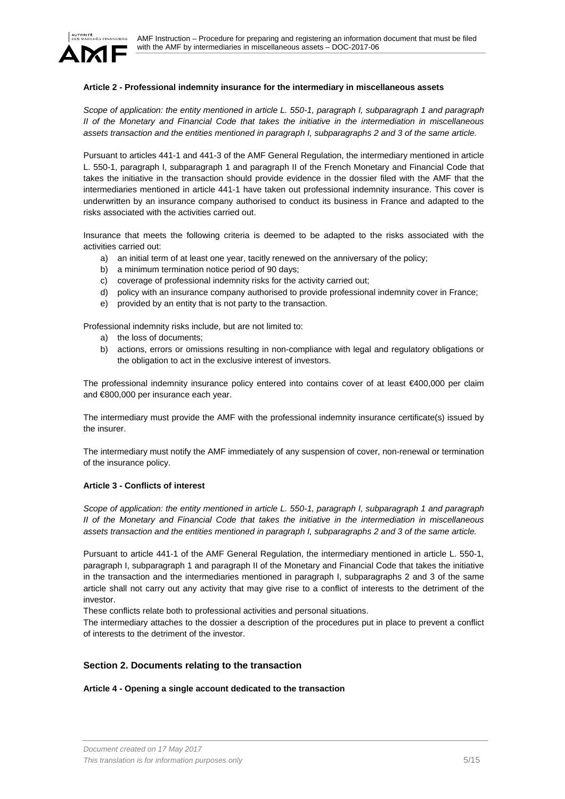

## **Article 2 - Professional indemnity insurance for the intermediary in miscellaneous assets**

*Scope of application: the entity mentioned in article L. 550-1, paragraph I, subparagraph 1 and paragraph II of the Monetary and Financial Code that takes the initiative in the intermediation in miscellaneous assets transaction and the entities mentioned in paragraph I, subparagraphs 2 and 3 of the same article.* 

Pursuant to articles 441-1 and 441-3 of the AMF General Regulation, the intermediary mentioned in article L. 550-1, paragraph I, subparagraph 1 and paragraph II of the French Monetary and Financial Code that takes the initiative in the transaction should provide evidence in the dossier filed with the AMF that the intermediaries mentioned in article 441-1 have taken out professional indemnity insurance. This cover is underwritten by an insurance company authorised to conduct its business in France and adapted to the risks associated with the activities carried out.

Insurance that meets the following criteria is deemed to be adapted to the risks associated with the activities carried out:

- a) an initial term of at least one year, tacitly renewed on the anniversary of the policy;
- b) a minimum termination notice period of 90 days;
- c) coverage of professional indemnity risks for the activity carried out;
- d) policy with an insurance company authorised to provide professional indemnity cover in France;
- e) provided by an entity that is not party to the transaction.

Professional indemnity risks include, but are not limited to:

- a) the loss of documents;
- b) actions, errors or omissions resulting in non-compliance with legal and regulatory obligations or the obligation to act in the exclusive interest of investors.

The professional indemnity insurance policy entered into contains cover of at least €400,000 per claim and €800,000 per insurance each year.

The intermediary must provide the AMF with the professional indemnity insurance certificate(s) issued by the insurer.

The intermediary must notify the AMF immediately of any suspension of cover, non-renewal or termination of the insurance policy.

### **Article 3 - Conflicts of interest**

*Scope of application: the entity mentioned in article L. 550-1, paragraph I, subparagraph 1 and paragraph II of the Monetary and Financial Code that takes the initiative in the intermediation in miscellaneous assets transaction and the entities mentioned in paragraph I, subparagraphs 2 and 3 of the same article.*

Pursuant to article 441-1 of the AMF General Regulation, the intermediary mentioned in article L. 550-1, paragraph I, subparagraph 1 and paragraph II of the Monetary and Financial Code that takes the initiative in the transaction and the intermediaries mentioned in paragraph I, subparagraphs 2 and 3 of the same article shall not carry out any activity that may give rise to a conflict of interests to the detriment of the investor.

These conflicts relate both to professional activities and personal situations.

The intermediary attaches to the dossier a description of the procedures put in place to prevent a conflict of interests to the detriment of the investor.

## **Section 2. Documents relating to the transaction**

## **Article 4 - Opening a single account dedicated to the transaction**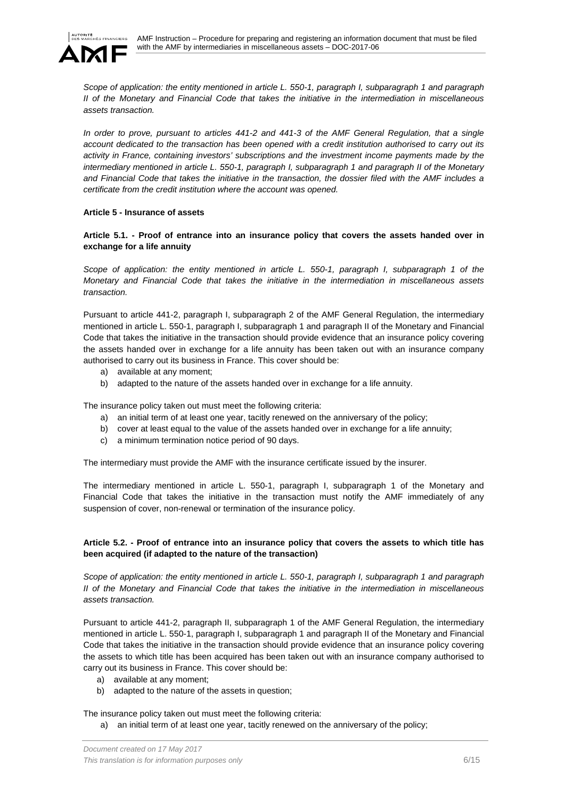

*Scope of application: the entity mentioned in article L. 550-1, paragraph I, subparagraph 1 and paragraph II of the Monetary and Financial Code that takes the initiative in the intermediation in miscellaneous assets transaction.* 

*In order to prove, pursuant to articles 441-2 and 441-3 of the AMF General Regulation, that a single account dedicated to the transaction has been opened with a credit institution authorised to carry out its activity in France, containing investors' subscriptions and the investment income payments made by the intermediary mentioned in article L. 550-1, paragraph I, subparagraph 1 and paragraph II of the Monetary and Financial Code that takes the initiative in the transaction, the dossier filed with the AMF includes a certificate from the credit institution where the account was opened.* 

### **Article 5 - Insurance of assets**

**Article 5.1. - Proof of entrance into an insurance policy that covers the assets handed over in exchange for a life annuity** 

*Scope of application: the entity mentioned in article L. 550-1, paragraph I, subparagraph 1 of the Monetary and Financial Code that takes the initiative in the intermediation in miscellaneous assets transaction.* 

Pursuant to article 441-2, paragraph I, subparagraph 2 of the AMF General Regulation, the intermediary mentioned in article L. 550-1, paragraph I, subparagraph 1 and paragraph II of the Monetary and Financial Code that takes the initiative in the transaction should provide evidence that an insurance policy covering the assets handed over in exchange for a life annuity has been taken out with an insurance company authorised to carry out its business in France. This cover should be:

- a) available at any moment;
- b) adapted to the nature of the assets handed over in exchange for a life annuity.

The insurance policy taken out must meet the following criteria:

- a) an initial term of at least one year, tacitly renewed on the anniversary of the policy;
- b) cover at least equal to the value of the assets handed over in exchange for a life annuity;
- c) a minimum termination notice period of 90 days.

The intermediary must provide the AMF with the insurance certificate issued by the insurer.

The intermediary mentioned in article L. 550-1, paragraph I, subparagraph 1 of the Monetary and Financial Code that takes the initiative in the transaction must notify the AMF immediately of any suspension of cover, non-renewal or termination of the insurance policy.

# **Article 5.2. - Proof of entrance into an insurance policy that covers the assets to which title has been acquired (if adapted to the nature of the transaction)**

*Scope of application: the entity mentioned in article L. 550-1, paragraph I, subparagraph 1 and paragraph II of the Monetary and Financial Code that takes the initiative in the intermediation in miscellaneous assets transaction.*

Pursuant to article 441-2, paragraph II, subparagraph 1 of the AMF General Regulation, the intermediary mentioned in article L. 550-1, paragraph I, subparagraph 1 and paragraph II of the Monetary and Financial Code that takes the initiative in the transaction should provide evidence that an insurance policy covering the assets to which title has been acquired has been taken out with an insurance company authorised to carry out its business in France. This cover should be:

- a) available at any moment;
- b) adapted to the nature of the assets in question;

The insurance policy taken out must meet the following criteria:

a) an initial term of at least one year, tacitly renewed on the anniversary of the policy;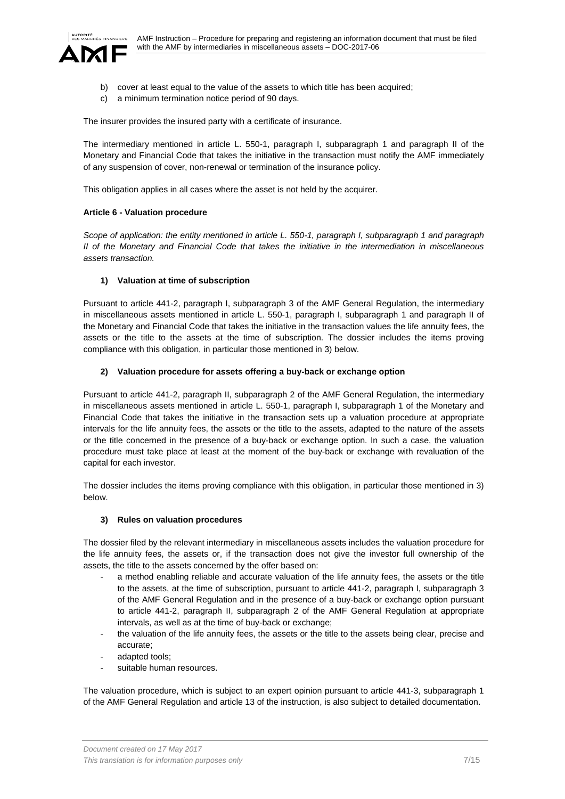



- b) cover at least equal to the value of the assets to which title has been acquired;
- c) a minimum termination notice period of 90 days.

The insurer provides the insured party with a certificate of insurance.

The intermediary mentioned in article L. 550-1, paragraph I, subparagraph 1 and paragraph II of the Monetary and Financial Code that takes the initiative in the transaction must notify the AMF immediately of any suspension of cover, non-renewal or termination of the insurance policy.

This obligation applies in all cases where the asset is not held by the acquirer.

### **Article 6 - Valuation procedure**

*Scope of application: the entity mentioned in article L. 550-1, paragraph I, subparagraph 1 and paragraph II of the Monetary and Financial Code that takes the initiative in the intermediation in miscellaneous assets transaction.* 

## **1) Valuation at time of subscription**

Pursuant to article 441-2, paragraph I, subparagraph 3 of the AMF General Regulation, the intermediary in miscellaneous assets mentioned in article L. 550-1, paragraph I, subparagraph 1 and paragraph II of the Monetary and Financial Code that takes the initiative in the transaction values the life annuity fees, the assets or the title to the assets at the time of subscription. The dossier includes the items proving compliance with this obligation, in particular those mentioned in 3) below.

## **2) Valuation procedure for assets offering a buy-back or exchange option**

Pursuant to article 441-2, paragraph II, subparagraph 2 of the AMF General Regulation, the intermediary in miscellaneous assets mentioned in article L. 550-1, paragraph I, subparagraph 1 of the Monetary and Financial Code that takes the initiative in the transaction sets up a valuation procedure at appropriate intervals for the life annuity fees, the assets or the title to the assets, adapted to the nature of the assets or the title concerned in the presence of a buy-back or exchange option. In such a case, the valuation procedure must take place at least at the moment of the buy-back or exchange with revaluation of the capital for each investor.

The dossier includes the items proving compliance with this obligation, in particular those mentioned in 3) below.

## **3) Rules on valuation procedures**

The dossier filed by the relevant intermediary in miscellaneous assets includes the valuation procedure for the life annuity fees, the assets or, if the transaction does not give the investor full ownership of the assets, the title to the assets concerned by the offer based on:

- a method enabling reliable and accurate valuation of the life annuity fees, the assets or the title to the assets, at the time of subscription, pursuant to article 441-2, paragraph I, subparagraph 3 of the AMF General Regulation and in the presence of a buy-back or exchange option pursuant to article 441-2, paragraph II, subparagraph 2 of the AMF General Regulation at appropriate intervals, as well as at the time of buy-back or exchange;
- the valuation of the life annuity fees, the assets or the title to the assets being clear, precise and accurate;
- adapted tools;
- suitable human resources.

The valuation procedure, which is subject to an expert opinion pursuant to article 441-3, subparagraph 1 of the AMF General Regulation and article 13 of the instruction, is also subject to detailed documentation.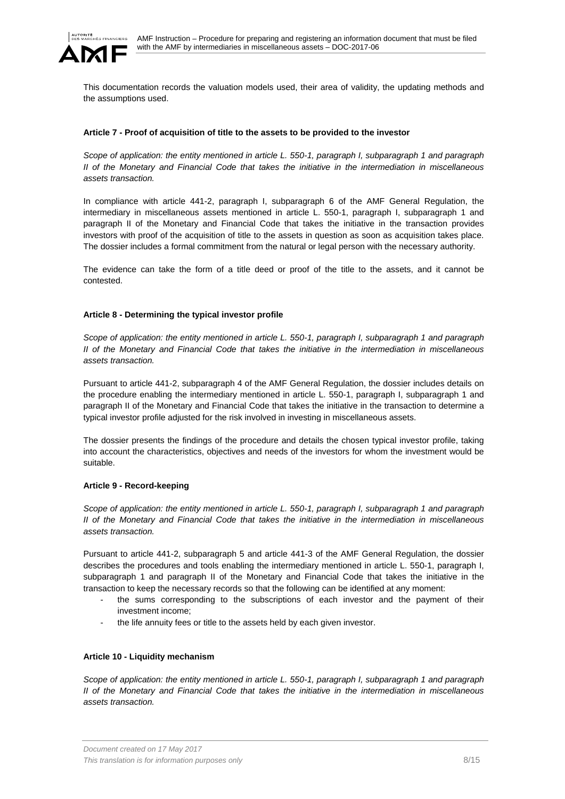

This documentation records the valuation models used, their area of validity, the updating methods and the assumptions used.

### **Article 7 - Proof of acquisition of title to the assets to be provided to the investor**

*Scope of application: the entity mentioned in article L. 550-1, paragraph I, subparagraph 1 and paragraph II of the Monetary and Financial Code that takes the initiative in the intermediation in miscellaneous assets transaction.*

In compliance with article 441-2, paragraph I, subparagraph 6 of the AMF General Regulation, the intermediary in miscellaneous assets mentioned in article L. 550-1, paragraph I, subparagraph 1 and paragraph II of the Monetary and Financial Code that takes the initiative in the transaction provides investors with proof of the acquisition of title to the assets in question as soon as acquisition takes place. The dossier includes a formal commitment from the natural or legal person with the necessary authority.

The evidence can take the form of a title deed or proof of the title to the assets, and it cannot be contested.

### **Article 8 - Determining the typical investor profile**

*Scope of application: the entity mentioned in article L. 550-1, paragraph I, subparagraph 1 and paragraph II of the Monetary and Financial Code that takes the initiative in the intermediation in miscellaneous assets transaction.*

Pursuant to article 441-2, subparagraph 4 of the AMF General Regulation, the dossier includes details on the procedure enabling the intermediary mentioned in article L. 550-1, paragraph I, subparagraph 1 and paragraph II of the Monetary and Financial Code that takes the initiative in the transaction to determine a typical investor profile adjusted for the risk involved in investing in miscellaneous assets.

The dossier presents the findings of the procedure and details the chosen typical investor profile, taking into account the characteristics, objectives and needs of the investors for whom the investment would be suitable.

#### **Article 9 - Record-keeping**

*Scope of application: the entity mentioned in article L. 550-1, paragraph I, subparagraph 1 and paragraph II of the Monetary and Financial Code that takes the initiative in the intermediation in miscellaneous assets transaction.*

Pursuant to article 441-2, subparagraph 5 and article 441-3 of the AMF General Regulation, the dossier describes the procedures and tools enabling the intermediary mentioned in article L. 550-1, paragraph I, subparagraph 1 and paragraph II of the Monetary and Financial Code that takes the initiative in the transaction to keep the necessary records so that the following can be identified at any moment:

- the sums corresponding to the subscriptions of each investor and the payment of their investment income;
- the life annuity fees or title to the assets held by each given investor.

#### **Article 10 - Liquidity mechanism**

*Scope of application: the entity mentioned in article L. 550-1, paragraph I, subparagraph 1 and paragraph II of the Monetary and Financial Code that takes the initiative in the intermediation in miscellaneous assets transaction.*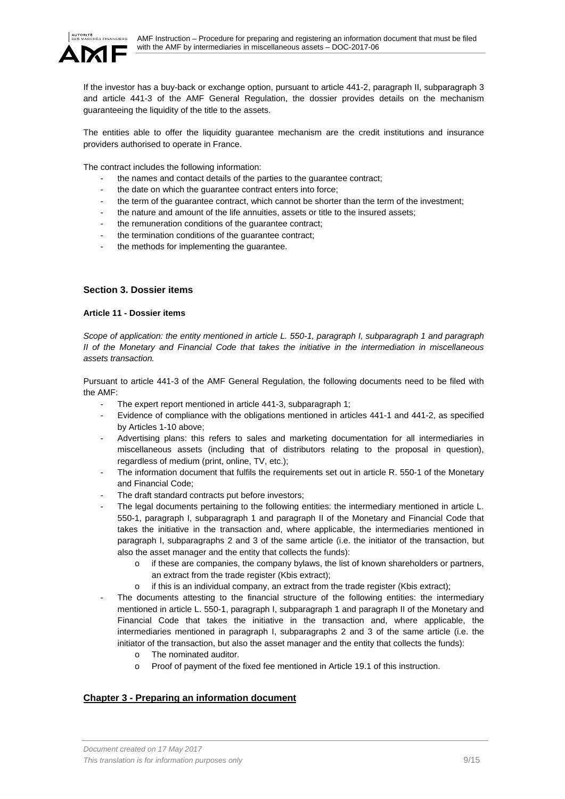

If the investor has a buy-back or exchange option, pursuant to article 441-2, paragraph II, subparagraph 3 and article 441-3 of the AMF General Regulation, the dossier provides details on the mechanism guaranteeing the liquidity of the title to the assets.

The entities able to offer the liquidity guarantee mechanism are the credit institutions and insurance providers authorised to operate in France.

The contract includes the following information:

- the names and contact details of the parties to the quarantee contract;
- the date on which the guarantee contract enters into force;
- the term of the guarantee contract, which cannot be shorter than the term of the investment;
- the nature and amount of the life annuities, assets or title to the insured assets;
- the remuneration conditions of the quarantee contract;
- the termination conditions of the guarantee contract;
- the methods for implementing the quarantee.

# **Section 3. Dossier items**

## **Article 11 - Dossier items**

*Scope of application: the entity mentioned in article L. 550-1, paragraph I, subparagraph 1 and paragraph II of the Monetary and Financial Code that takes the initiative in the intermediation in miscellaneous assets transaction.* 

Pursuant to article 441-3 of the AMF General Regulation, the following documents need to be filed with the AMF:

- The expert report mentioned in article 441-3, subparagraph 1;
- Evidence of compliance with the obligations mentioned in articles 441-1 and 441-2, as specified by Articles 1-10 above;
- Advertising plans: this refers to sales and marketing documentation for all intermediaries in miscellaneous assets (including that of distributors relating to the proposal in question), regardless of medium (print, online, TV, etc.);
- The information document that fulfils the requirements set out in article R. 550-1 of the Monetary and Financial Code;
- The draft standard contracts put before investors;
- The legal documents pertaining to the following entities: the intermediary mentioned in article L. 550-1, paragraph I, subparagraph 1 and paragraph II of the Monetary and Financial Code that takes the initiative in the transaction and, where applicable, the intermediaries mentioned in paragraph I, subparagraphs 2 and 3 of the same article (i.e. the initiator of the transaction, but also the asset manager and the entity that collects the funds):
	- o if these are companies, the company bylaws, the list of known shareholders or partners, an extract from the trade register (Kbis extract);
	- o if this is an individual company, an extract from the trade register (Kbis extract);
- The documents attesting to the financial structure of the following entities: the intermediary mentioned in article L. 550-1, paragraph I, subparagraph 1 and paragraph II of the Monetary and Financial Code that takes the initiative in the transaction and, where applicable, the intermediaries mentioned in paragraph I, subparagraphs 2 and 3 of the same article (i.e. the initiator of the transaction, but also the asset manager and the entity that collects the funds):
	- o The nominated auditor.
	- o Proof of payment of the fixed fee mentioned in Article 19.1 of this instruction.

# **Chapter 3 - Preparing an information document**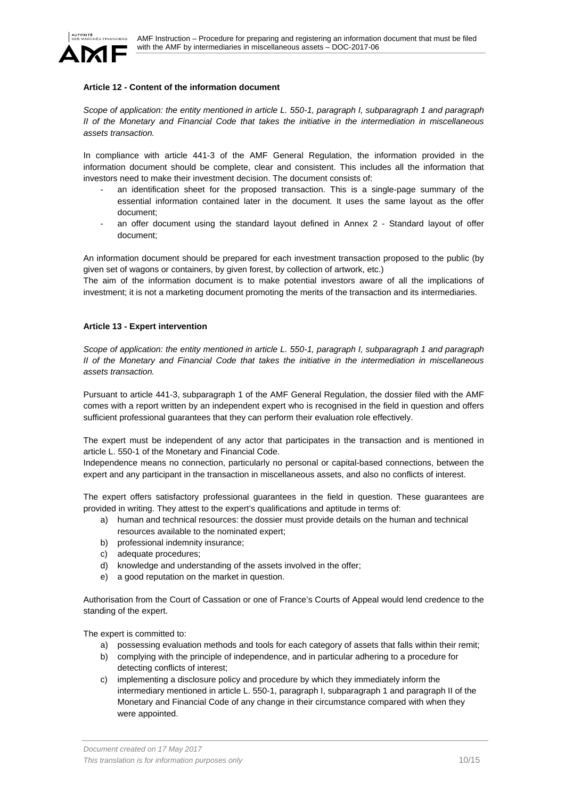

## **Article 12 - Content of the information document**

*Scope of application: the entity mentioned in article L. 550-1, paragraph I, subparagraph 1 and paragraph II of the Monetary and Financial Code that takes the initiative in the intermediation in miscellaneous assets transaction.*

In compliance with article 441-3 of the AMF General Regulation, the information provided in the information document should be complete, clear and consistent. This includes all the information that investors need to make their investment decision. The document consists of:

- an identification sheet for the proposed transaction. This is a single-page summary of the essential information contained later in the document. It uses the same layout as the offer document;
- an offer document using the standard layout defined in Annex 2 Standard layout of offer document;

An information document should be prepared for each investment transaction proposed to the public (by given set of wagons or containers, by given forest, by collection of artwork, etc.)

The aim of the information document is to make potential investors aware of all the implications of investment; it is not a marketing document promoting the merits of the transaction and its intermediaries.

### **Article 13 - Expert intervention**

*Scope of application: the entity mentioned in article L. 550-1, paragraph I, subparagraph 1 and paragraph II of the Monetary and Financial Code that takes the initiative in the intermediation in miscellaneous assets transaction.* 

Pursuant to article 441-3, subparagraph 1 of the AMF General Regulation, the dossier filed with the AMF comes with a report written by an independent expert who is recognised in the field in question and offers sufficient professional guarantees that they can perform their evaluation role effectively.

The expert must be independent of any actor that participates in the transaction and is mentioned in article L. 550-1 of the Monetary and Financial Code.

Independence means no connection, particularly no personal or capital-based connections, between the expert and any participant in the transaction in miscellaneous assets, and also no conflicts of interest.

The expert offers satisfactory professional guarantees in the field in question. These guarantees are provided in writing. They attest to the expert's qualifications and aptitude in terms of:

- a) human and technical resources: the dossier must provide details on the human and technical resources available to the nominated expert;
- b) professional indemnity insurance;
- c) adequate procedures;
- d) knowledge and understanding of the assets involved in the offer;
- e) a good reputation on the market in question.

Authorisation from the Court of Cassation or one of France's Courts of Appeal would lend credence to the standing of the expert.

The expert is committed to:

- a) possessing evaluation methods and tools for each category of assets that falls within their remit;
- b) complying with the principle of independence, and in particular adhering to a procedure for detecting conflicts of interest;
- c) implementing a disclosure policy and procedure by which they immediately inform the intermediary mentioned in article L. 550-1, paragraph I, subparagraph 1 and paragraph II of the Monetary and Financial Code of any change in their circumstance compared with when they were appointed.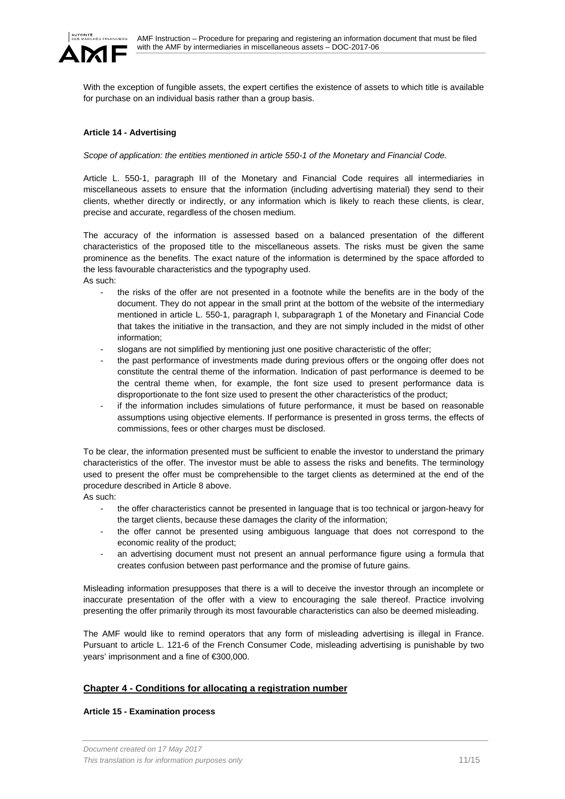

With the exception of fungible assets, the expert certifies the existence of assets to which title is available for purchase on an individual basis rather than a group basis.

## **Article 14 - Advertising**

*Scope of application: the entities mentioned in article 550-1 of the Monetary and Financial Code.* 

Article L. 550-1, paragraph III of the Monetary and Financial Code requires all intermediaries in miscellaneous assets to ensure that the information (including advertising material) they send to their clients, whether directly or indirectly, or any information which is likely to reach these clients, is clear, precise and accurate, regardless of the chosen medium.

The accuracy of the information is assessed based on a balanced presentation of the different characteristics of the proposed title to the miscellaneous assets. The risks must be given the same prominence as the benefits. The exact nature of the information is determined by the space afforded to the less favourable characteristics and the typography used. As such:

- the risks of the offer are not presented in a footnote while the benefits are in the body of the document. They do not appear in the small print at the bottom of the website of the intermediary mentioned in article L. 550-1, paragraph I, subparagraph 1 of the Monetary and Financial Code that takes the initiative in the transaction, and they are not simply included in the midst of other information;
- slogans are not simplified by mentioning just one positive characteristic of the offer;
- the past performance of investments made during previous offers or the ongoing offer does not constitute the central theme of the information. Indication of past performance is deemed to be the central theme when, for example, the font size used to present performance data is disproportionate to the font size used to present the other characteristics of the product;
- if the information includes simulations of future performance, it must be based on reasonable assumptions using objective elements. If performance is presented in gross terms, the effects of commissions, fees or other charges must be disclosed.

To be clear, the information presented must be sufficient to enable the investor to understand the primary characteristics of the offer. The investor must be able to assess the risks and benefits. The terminology used to present the offer must be comprehensible to the target clients as determined at the end of the procedure described in Article 8 above.

As such:

- the offer characteristics cannot be presented in language that is too technical or jargon-heavy for the target clients, because these damages the clarity of the information;
- the offer cannot be presented using ambiguous language that does not correspond to the economic reality of the product;
- an advertising document must not present an annual performance figure using a formula that creates confusion between past performance and the promise of future gains.

Misleading information presupposes that there is a will to deceive the investor through an incomplete or inaccurate presentation of the offer with a view to encouraging the sale thereof. Practice involving presenting the offer primarily through its most favourable characteristics can also be deemed misleading.

The AMF would like to remind operators that any form of misleading advertising is illegal in France. Pursuant to article L. 121-6 of the French Consumer Code, misleading advertising is punishable by two years' imprisonment and a fine of €300,000.

## **Chapter 4 - Conditions for allocating a registration number**

## **Article 15 - Examination process**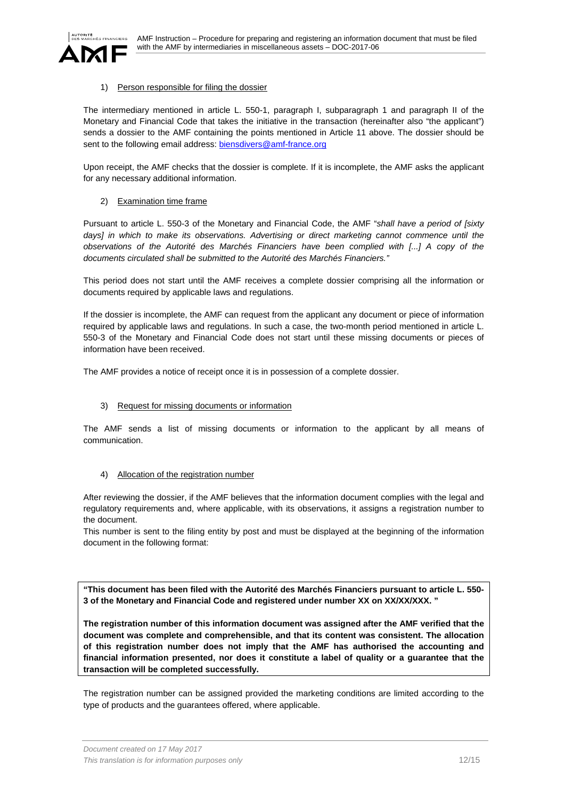

## 1) Person responsible for filing the dossier

The intermediary mentioned in article L. 550-1, paragraph I, subparagraph 1 and paragraph II of the Monetary and Financial Code that takes the initiative in the transaction (hereinafter also "the applicant") sends a dossier to the AMF containing the points mentioned in Article 11 above. The dossier should be sent to the following email address: biensdivers@amf-france.org

Upon receipt, the AMF checks that the dossier is complete. If it is incomplete, the AMF asks the applicant for any necessary additional information.

# 2) Examination time frame

Pursuant to article L. 550-3 of the Monetary and Financial Code, the AMF "*shall have a period of [sixty*  days] in which to make its observations. Advertising or direct marketing cannot commence until the *observations of the Autorité des Marchés Financiers have been complied with [...] A copy of the documents circulated shall be submitted to the Autorité des Marchés Financiers."*

This period does not start until the AMF receives a complete dossier comprising all the information or documents required by applicable laws and regulations.

If the dossier is incomplete, the AMF can request from the applicant any document or piece of information required by applicable laws and regulations. In such a case, the two-month period mentioned in article L. 550-3 of the Monetary and Financial Code does not start until these missing documents or pieces of information have been received.

The AMF provides a notice of receipt once it is in possession of a complete dossier.

# 3) Request for missing documents or information

The AMF sends a list of missing documents or information to the applicant by all means of communication.

## 4) Allocation of the registration number

After reviewing the dossier, if the AMF believes that the information document complies with the legal and regulatory requirements and, where applicable, with its observations, it assigns a registration number to the document.

This number is sent to the filing entity by post and must be displayed at the beginning of the information document in the following format:

**"This document has been filed with the Autorité des Marchés Financiers pursuant to article L. 550- 3 of the Monetary and Financial Code and registered under number XX on XX/XX/XXX. "** 

**The registration number of this information document was assigned after the AMF verified that the document was complete and comprehensible, and that its content was consistent. The allocation of this registration number does not imply that the AMF has authorised the accounting and financial information presented, nor does it constitute a label of quality or a guarantee that the transaction will be completed successfully.** 

The registration number can be assigned provided the marketing conditions are limited according to the type of products and the guarantees offered, where applicable.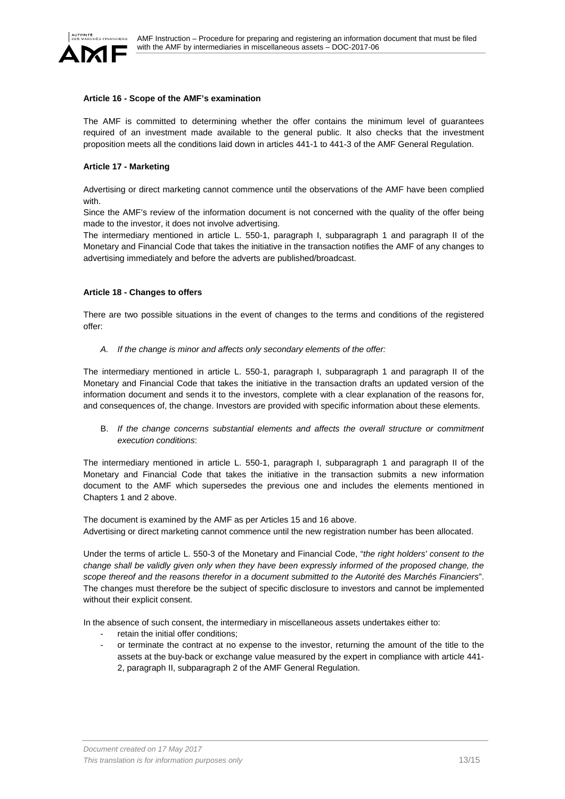

### **Article 16 - Scope of the AMF's examination**

The AMF is committed to determining whether the offer contains the minimum level of guarantees required of an investment made available to the general public. It also checks that the investment proposition meets all the conditions laid down in articles 441-1 to 441-3 of the AMF General Regulation.

#### **Article 17 - Marketing**

Advertising or direct marketing cannot commence until the observations of the AMF have been complied with.

Since the AMF's review of the information document is not concerned with the quality of the offer being made to the investor, it does not involve advertising.

The intermediary mentioned in article L. 550-1, paragraph I, subparagraph 1 and paragraph II of the Monetary and Financial Code that takes the initiative in the transaction notifies the AMF of any changes to advertising immediately and before the adverts are published/broadcast.

#### **Article 18 - Changes to offers**

There are two possible situations in the event of changes to the terms and conditions of the registered offer:

*A. If the change is minor and affects only secondary elements of the offer:* 

The intermediary mentioned in article L. 550-1, paragraph I, subparagraph 1 and paragraph II of the Monetary and Financial Code that takes the initiative in the transaction drafts an updated version of the information document and sends it to the investors, complete with a clear explanation of the reasons for, and consequences of, the change. Investors are provided with specific information about these elements.

B. *If the change concerns substantial elements and affects the overall structure or commitment execution conditions*:

The intermediary mentioned in article L. 550-1, paragraph I, subparagraph 1 and paragraph II of the Monetary and Financial Code that takes the initiative in the transaction submits a new information document to the AMF which supersedes the previous one and includes the elements mentioned in Chapters 1 and 2 above.

The document is examined by the AMF as per Articles 15 and 16 above. Advertising or direct marketing cannot commence until the new registration number has been allocated.

Under the terms of article L. 550-3 of the Monetary and Financial Code, "*the right holders' consent to the change shall be validly given only when they have been expressly informed of the proposed change, the scope thereof and the reasons therefor in a document submitted to the Autorité des Marchés Financiers*". The changes must therefore be the subject of specific disclosure to investors and cannot be implemented without their explicit consent.

In the absence of such consent, the intermediary in miscellaneous assets undertakes either to:

- retain the initial offer conditions;
- or terminate the contract at no expense to the investor, returning the amount of the title to the assets at the buy-back or exchange value measured by the expert in compliance with article 441- 2, paragraph II, subparagraph 2 of the AMF General Regulation.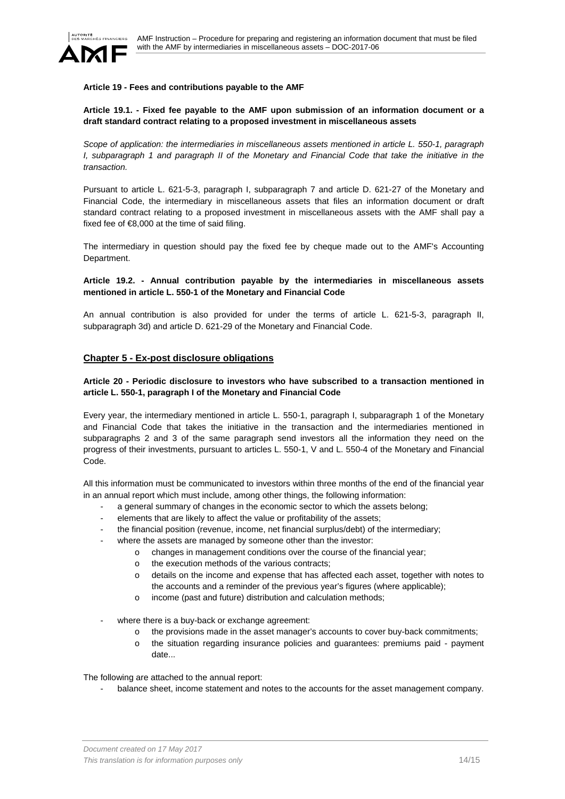

### **Article 19 - Fees and contributions payable to the AMF**

# **Article 19.1. - Fixed fee payable to the AMF upon submission of an information document or a draft standard contract relating to a proposed investment in miscellaneous assets**

*Scope of application: the intermediaries in miscellaneous assets mentioned in article L. 550-1, paragraph I*, subparagraph 1 and paragraph *II* of the Monetary and Financial Code that take the initiative in the *transaction.* 

Pursuant to article L. 621-5-3, paragraph I, subparagraph 7 and article D. 621-27 of the Monetary and Financial Code, the intermediary in miscellaneous assets that files an information document or draft standard contract relating to a proposed investment in miscellaneous assets with the AMF shall pay a fixed fee of  $€8,000$  at the time of said filing.

The intermediary in question should pay the fixed fee by cheque made out to the AMF's Accounting Department.

## **Article 19.2. - Annual contribution payable by the intermediaries in miscellaneous assets mentioned in article L. 550-1 of the Monetary and Financial Code**

An annual contribution is also provided for under the terms of article L. 621-5-3, paragraph II, subparagraph 3d) and article D. 621-29 of the Monetary and Financial Code.

# **Chapter 5 - Ex-post disclosure obligations**

## **Article 20 - Periodic disclosure to investors who have subscribed to a transaction mentioned in article L. 550-1, paragraph I of the Monetary and Financial Code**

Every year, the intermediary mentioned in article L. 550-1, paragraph I, subparagraph 1 of the Monetary and Financial Code that takes the initiative in the transaction and the intermediaries mentioned in subparagraphs 2 and 3 of the same paragraph send investors all the information they need on the progress of their investments, pursuant to articles L. 550-1, V and L. 550-4 of the Monetary and Financial Code.

All this information must be communicated to investors within three months of the end of the financial year in an annual report which must include, among other things, the following information:

- a general summary of changes in the economic sector to which the assets belong;
- elements that are likely to affect the value or profitability of the assets;
- the financial position (revenue, income, net financial surplus/debt) of the intermediary;
- where the assets are managed by someone other than the investor:
	- o changes in management conditions over the course of the financial year;
	- o the execution methods of the various contracts;
	- o details on the income and expense that has affected each asset, together with notes to the accounts and a reminder of the previous year's figures (where applicable);
	- o income (past and future) distribution and calculation methods;
- where there is a buy-back or exchange agreement:
	- o the provisions made in the asset manager's accounts to cover buy-back commitments;
	- o the situation regarding insurance policies and guarantees: premiums paid payment date...

The following are attached to the annual report:

balance sheet, income statement and notes to the accounts for the asset management company.